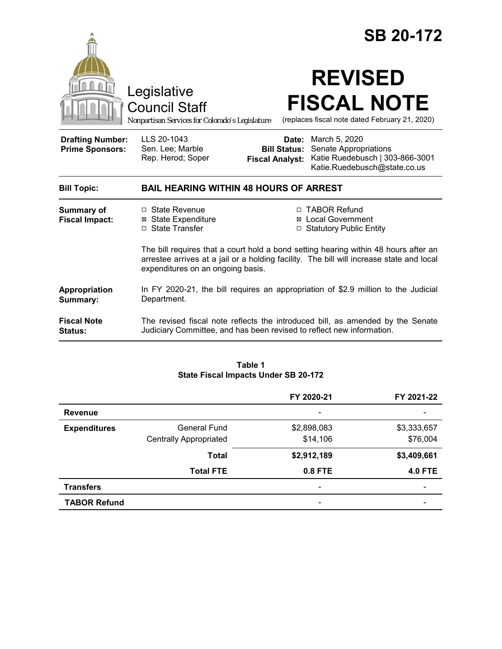|                                                   |                                                                                                                                                                                                                      |                                                        | <b>SB 20-172</b>                                                                                          |  |
|---------------------------------------------------|----------------------------------------------------------------------------------------------------------------------------------------------------------------------------------------------------------------------|--------------------------------------------------------|-----------------------------------------------------------------------------------------------------------|--|
|                                                   | Legislative<br><b>Council Staff</b><br>Nonpartisan Services for Colorado's Legislature                                                                                                                               |                                                        | <b>REVISED</b><br><b>FISCAL NOTE</b><br>(replaces fiscal note dated February 21, 2020)                    |  |
| <b>Drafting Number:</b><br><b>Prime Sponsors:</b> | LLS 20-1043<br>Sen. Lee; Marble<br>Rep. Herod; Soper                                                                                                                                                                 | Date:<br><b>Bill Status:</b><br><b>Fiscal Analyst:</b> | March 5, 2020<br>Senate Appropriations<br>Katie Ruedebusch   303-866-3001<br>Katie.Ruedebusch@state.co.us |  |
| <b>Bill Topic:</b>                                | <b>BAIL HEARING WITHIN 48 HOURS OF ARREST</b>                                                                                                                                                                        |                                                        |                                                                                                           |  |
| Summary of<br><b>Fiscal Impact:</b>               | $\Box$ State Revenue<br><b>⊠</b> State Expenditure<br>□ State Transfer                                                                                                                                               |                                                        | □ TABOR Refund<br>⊠ Local Government<br>□ Statutory Public Entity                                         |  |
|                                                   | The bill requires that a court hold a bond setting hearing within 48 hours after an<br>arrestee arrives at a jail or a holding facility. The bill will increase state and local<br>expenditures on an ongoing basis. |                                                        |                                                                                                           |  |
| Appropriation<br>Summary:                         | In FY 2020-21, the bill requires an appropriation of \$2.9 million to the Judicial<br>Department.                                                                                                                    |                                                        |                                                                                                           |  |
| <b>Fiscal Note</b><br><b>Status:</b>              | The revised fiscal note reflects the introduced bill, as amended by the Senate<br>Judiciary Committee, and has been revised to reflect new information.                                                              |                                                        |                                                                                                           |  |

#### **Table 1 State Fiscal Impacts Under SB 20-172**

|                     |                               | FY 2020-21                   | FY 2021-22               |
|---------------------|-------------------------------|------------------------------|--------------------------|
| <b>Revenue</b>      |                               | $\overline{\phantom{a}}$     |                          |
| <b>Expenditures</b> | <b>General Fund</b>           | \$2,898,083                  | \$3,333,657              |
|                     | <b>Centrally Appropriated</b> | \$14,106                     | \$76,004                 |
|                     | <b>Total</b>                  | \$2,912,189                  | \$3,409,661              |
|                     | <b>Total FTE</b>              | 0.8 FTE                      | <b>4.0 FTE</b>           |
| <b>Transfers</b>    |                               | $\qquad \qquad \blacksquare$ | $\overline{\phantom{0}}$ |
| <b>TABOR Refund</b> |                               |                              |                          |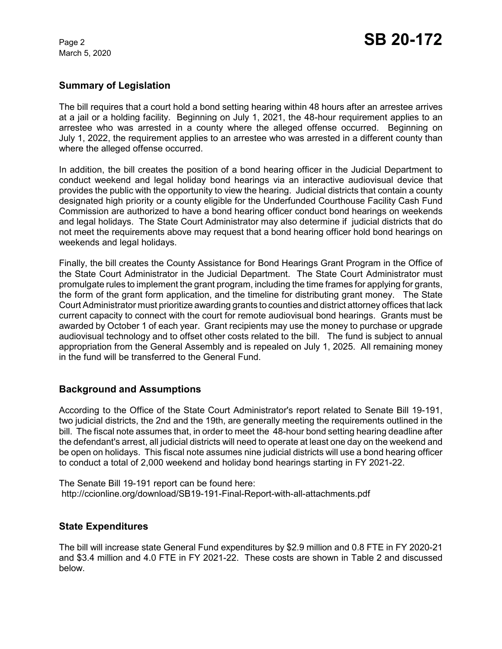March 5, 2020

## **Summary of Legislation**

The bill requires that a court hold a bond setting hearing within 48 hours after an arrestee arrives at a jail or a holding facility. Beginning on July 1, 2021, the 48-hour requirement applies to an arrestee who was arrested in a county where the alleged offense occurred. Beginning on July 1, 2022, the requirement applies to an arrestee who was arrested in a different county than where the alleged offense occurred.

In addition, the bill creates the position of a bond hearing officer in the Judicial Department to conduct weekend and legal holiday bond hearings via an interactive audiovisual device that provides the public with the opportunity to view the hearing. Judicial districts that contain a county designated high priority or a county eligible for the Underfunded Courthouse Facility Cash Fund Commission are authorized to have a bond hearing officer conduct bond hearings on weekends and legal holidays. The State Court Administrator may also determine if judicial districts that do not meet the requirements above may request that a bond hearing officer hold bond hearings on weekends and legal holidays.

Finally, the bill creates the County Assistance for Bond Hearings Grant Program in the Office of the State Court Administrator in the Judicial Department. The State Court Administrator must promulgate rules to implement the grant program, including the time frames for applying for grants, the form of the grant form application, and the timeline for distributing grant money. The State Court Administrator must prioritize awarding grants to counties and district attorney offices that lack current capacity to connect with the court for remote audiovisual bond hearings. Grants must be awarded by October 1 of each year. Grant recipients may use the money to purchase or upgrade audiovisual technology and to offset other costs related to the bill. The fund is subject to annual appropriation from the General Assembly and is repealed on July 1, 2025. All remaining money in the fund will be transferred to the General Fund.

# **Background and Assumptions**

According to the Office of the State Court Administrator's report related to Senate Bill 19-191, two judicial districts, the 2nd and the 19th, are generally meeting the requirements outlined in the bill. The fiscal note assumes that, in order to meet the 48-hour bond setting hearing deadline after the defendant's arrest, all judicial districts will need to operate at least one day on the weekend and be open on holidays. This fiscal note assumes nine judicial districts will use a bond hearing officer to conduct a total of 2,000 weekend and holiday bond hearings starting in FY 2021-22.

The Senate Bill 19-191 report can be found here: http://ccionline.org/download/SB19-191-Final-Report-with-all-attachments.pdf

# **State Expenditures**

The bill will increase state General Fund expenditures by \$2.9 million and 0.8 FTE in FY 2020-21 and \$3.4 million and 4.0 FTE in FY 2021-22. These costs are shown in Table 2 and discussed below.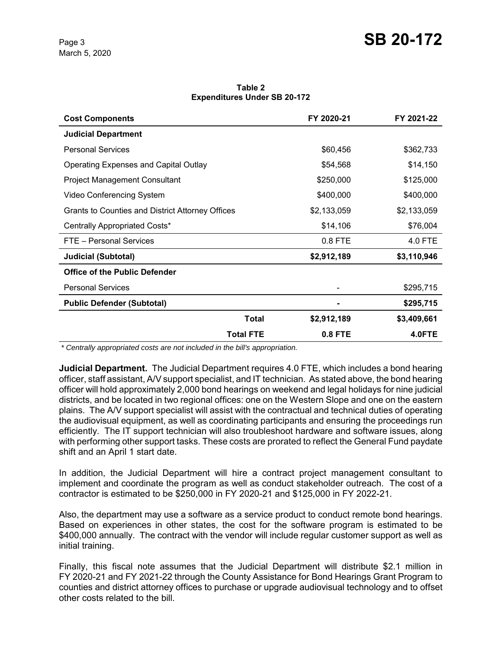**Table 2 Expenditures Under SB 20-172**

| <b>Cost Components</b>                           | FY 2020-21  | FY 2021-22  |
|--------------------------------------------------|-------------|-------------|
| <b>Judicial Department</b>                       |             |             |
| <b>Personal Services</b>                         | \$60,456    | \$362,733   |
| <b>Operating Expenses and Capital Outlay</b>     | \$54,568    | \$14,150    |
| <b>Project Management Consultant</b>             | \$250,000   | \$125,000   |
| Video Conferencing System                        | \$400,000   | \$400,000   |
| Grants to Counties and District Attorney Offices | \$2,133,059 | \$2,133,059 |
| Centrally Appropriated Costs*                    | \$14,106    | \$76,004    |
| FTE - Personal Services                          | 0.8 FTE     | 4.0 FTE     |
| <b>Judicial (Subtotal)</b>                       | \$2,912,189 | \$3,110,946 |
| <b>Office of the Public Defender</b>             |             |             |
| <b>Personal Services</b>                         |             | \$295,715   |
| <b>Public Defender (Subtotal)</b>                |             | \$295,715   |
| <b>Total</b>                                     | \$2,912,189 | \$3,409,661 |
| <b>Total FTE</b>                                 | 0.8 FTE     | 4.0FTE      |

 *\* Centrally appropriated costs are not included in the bill's appropriation.*

**Judicial Department.** The Judicial Department requires 4.0 FTE, which includes a bond hearing officer, staff assistant, A/V support specialist, and IT technician. As stated above, the bond hearing officer will hold approximately 2,000 bond hearings on weekend and legal holidays for nine judicial districts, and be located in two regional offices: one on the Western Slope and one on the eastern plains. The A/V support specialist will assist with the contractual and technical duties of operating the audiovisual equipment, as well as coordinating participants and ensuring the proceedings run efficiently. The IT support technician will also troubleshoot hardware and software issues, along with performing other support tasks. These costs are prorated to reflect the General Fund paydate shift and an April 1 start date.

In addition, the Judicial Department will hire a contract project management consultant to implement and coordinate the program as well as conduct stakeholder outreach. The cost of a contractor is estimated to be \$250,000 in FY 2020-21 and \$125,000 in FY 2022-21.

Also, the department may use a software as a service product to conduct remote bond hearings. Based on experiences in other states, the cost for the software program is estimated to be \$400,000 annually. The contract with the vendor will include regular customer support as well as initial training.

Finally, this fiscal note assumes that the Judicial Department will distribute \$2.1 million in FY 2020-21 and FY 2021-22 through the County Assistance for Bond Hearings Grant Program to counties and district attorney offices to purchase or upgrade audiovisual technology and to offset other costs related to the bill.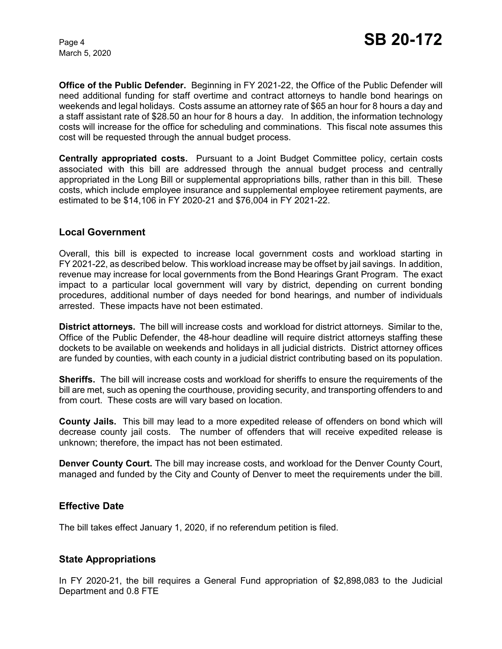March 5, 2020

**Office of the Public Defender.** Beginning in FY 2021-22, the Office of the Public Defender will need additional funding for staff overtime and contract attorneys to handle bond hearings on weekends and legal holidays. Costs assume an attorney rate of \$65 an hour for 8 hours a day and a staff assistant rate of \$28.50 an hour for 8 hours a day. In addition, the information technology costs will increase for the office for scheduling and comminations. This fiscal note assumes this cost will be requested through the annual budget process.

**Centrally appropriated costs.** Pursuant to a Joint Budget Committee policy, certain costs associated with this bill are addressed through the annual budget process and centrally appropriated in the Long Bill or supplemental appropriations bills, rather than in this bill. These costs, which include employee insurance and supplemental employee retirement payments, are estimated to be \$14,106 in FY 2020-21 and \$76,004 in FY 2021-22.

#### **Local Government**

Overall, this bill is expected to increase local government costs and workload starting in FY 2021-22, as described below. This workload increase may be offset by jail savings. In addition, revenue may increase for local governments from the Bond Hearings Grant Program. The exact impact to a particular local government will vary by district, depending on current bonding procedures, additional number of days needed for bond hearings, and number of individuals arrested. These impacts have not been estimated.

**District attorneys.** The bill will increase costs and workload for district attorneys. Similar to the, Office of the Public Defender, the 48-hour deadline will require district attorneys staffing these dockets to be available on weekends and holidays in all judicial districts. District attorney offices are funded by counties, with each county in a judicial district contributing based on its population.

**Sheriffs.** The bill will increase costs and workload for sheriffs to ensure the requirements of the bill are met, such as opening the courthouse, providing security, and transporting offenders to and from court. These costs are will vary based on location.

**County Jails.** This bill may lead to a more expedited release of offenders on bond which will decrease county jail costs. The number of offenders that will receive expedited release is unknown; therefore, the impact has not been estimated.

**Denver County Court.** The bill may increase costs, and workload for the Denver County Court, managed and funded by the City and County of Denver to meet the requirements under the bill.

## **Effective Date**

The bill takes effect January 1, 2020, if no referendum petition is filed.

## **State Appropriations**

In FY 2020-21, the bill requires a General Fund appropriation of \$2,898,083 to the Judicial Department and 0.8 FTE